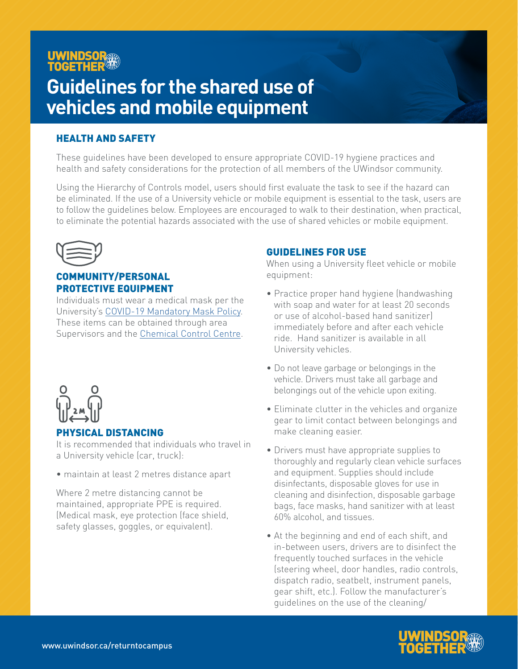## UWINDSOR **TOGETHER**

# **Guidelines for the shared use of vehicles and mobile equipment**

## HEALTH AND SAFETY

These guidelines have been developed to ensure appropriate COVID-19 hygiene practices and health and safety considerations for the protection of all members of the UWindsor community.

Using the Hierarchy of Controls model, users should first evaluate the task to see if the hazard can be eliminated. If the use of a University vehicle or mobile equipment is essential to the task, users are to follow the guidelines below. Employees are encouraged to walk to their destination, when practical, to eliminate the potential hazards associated with the use of shared vehicles or mobile equipment.



## COMMUNITY/PERSONAL PROTECTIVE EQUIPMENT

Individuals must wear a medical mask per the University's [COVID-19 Mandatory Mask Policy](https://lawlibrary.uwindsor.ca/Presto/content/Detail.aspx?ctID=OTdhY2QzODgtNjhlYi00ZWY0LTg2OTUtNmU5NjEzY2JkMWYx&rID=MjQw&qrs=RmFsc2U=&q=KFVuaXZlcnNpdHlfb2ZfV2luZHNvcl9DZW50cmFsX1BvbGljaWVzLkFsbFRleHQ6KENPVklEKSk=&ph=VHJ1ZQ==&bckToL=VHJ1ZQ==&rrtc=VHJ1ZQ==). These items can be obtained through area Supervisors and the [Chemical Control Centre.](https://www.uwindsor.ca/chemical-control-centre/)



### PHYSICAL DISTANCING

It is recommended that individuals who travel in a University vehicle (car, truck):

• maintain at least 2 metres distance apart

Where 2 metre distancing cannot be maintained, appropriate PPE is required. (Medical mask, eye protection (face shield, safety glasses, goggles, or equivalent).

## GUIDELINES FOR USE

When using a University fleet vehicle or mobile equipment:

- Practice proper hand hygiene (handwashing with soap and water for at least 20 seconds or use of alcohol-based hand sanitizer) immediately before and after each vehicle ride. Hand sanitizer is available in all University vehicles.
- Do not leave garbage or belongings in the vehicle. Drivers must take all garbage and belongings out of the vehicle upon exiting.
- Eliminate clutter in the vehicles and organize gear to limit contact between belongings and make cleaning easier.
- Drivers must have appropriate supplies to thoroughly and regularly clean vehicle surfaces and equipment. Supplies should include disinfectants, disposable gloves for use in cleaning and disinfection, disposable garbage bags, face masks, hand sanitizer with at least 60% alcohol, and tissues.
- At the beginning and end of each shift, and in-between users, drivers are to disinfect the frequently touched surfaces in the vehicle (steering wheel, door handles, radio controls, dispatch radio, seatbelt, instrument panels, gear shift, etc.). Follow the manufacturer's guidelines on the use of the cleaning/